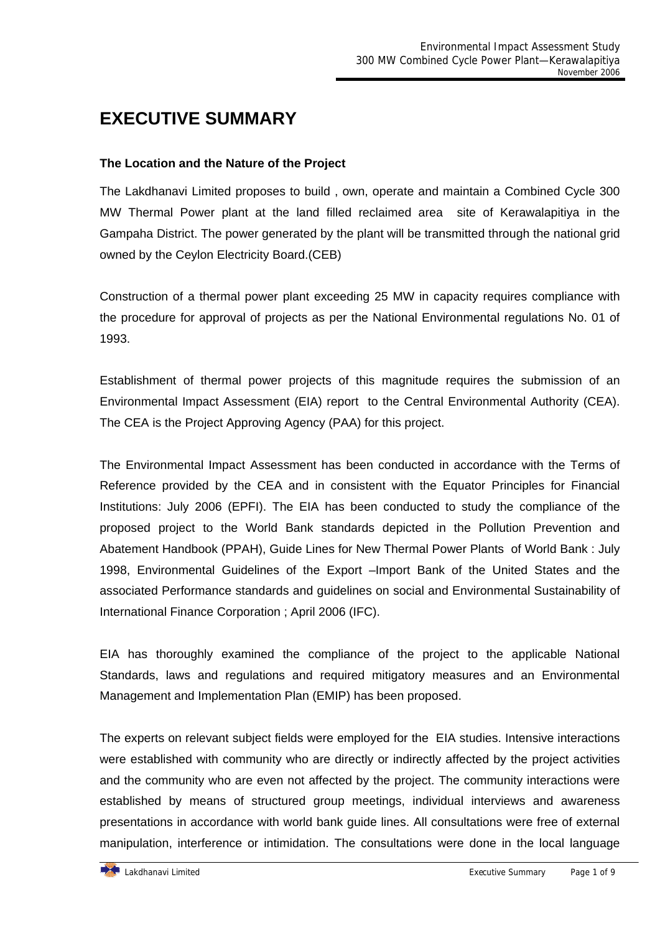# **EXECUTIVE SUMMARY**

# **The Location and the Nature of the Project**

The Lakdhanavi Limited proposes to build , own, operate and maintain a Combined Cycle 300 MW Thermal Power plant at the land filled reclaimed area site of Kerawalapitiya in the Gampaha District. The power generated by the plant will be transmitted through the national grid owned by the Ceylon Electricity Board.(CEB)

Construction of a thermal power plant exceeding 25 MW in capacity requires compliance with the procedure for approval of projects as per the National Environmental regulations No. 01 of 1993.

Establishment of thermal power projects of this magnitude requires the submission of an Environmental Impact Assessment (EIA) report to the Central Environmental Authority (CEA). The CEA is the Project Approving Agency (PAA) for this project.

The Environmental Impact Assessment has been conducted in accordance with the Terms of Reference provided by the CEA and in consistent with the Equator Principles for Financial Institutions: July 2006 (EPFI). The EIA has been conducted to study the compliance of the proposed project to the World Bank standards depicted in the Pollution Prevention and Abatement Handbook (PPAH), Guide Lines for New Thermal Power Plants of World Bank : July 1998, Environmental Guidelines of the Export –Import Bank of the United States and the associated Performance standards and guidelines on social and Environmental Sustainability of International Finance Corporation ; April 2006 (IFC).

EIA has thoroughly examined the compliance of the project to the applicable National Standards, laws and regulations and required mitigatory measures and an Environmental Management and Implementation Plan (EMIP) has been proposed.

The experts on relevant subject fields were employed for the EIA studies. Intensive interactions were established with community who are directly or indirectly affected by the project activities and the community who are even not affected by the project. The community interactions were established by means of structured group meetings, individual interviews and awareness presentations in accordance with world bank guide lines. All consultations were free of external manipulation, interference or intimidation. The consultations were done in the local language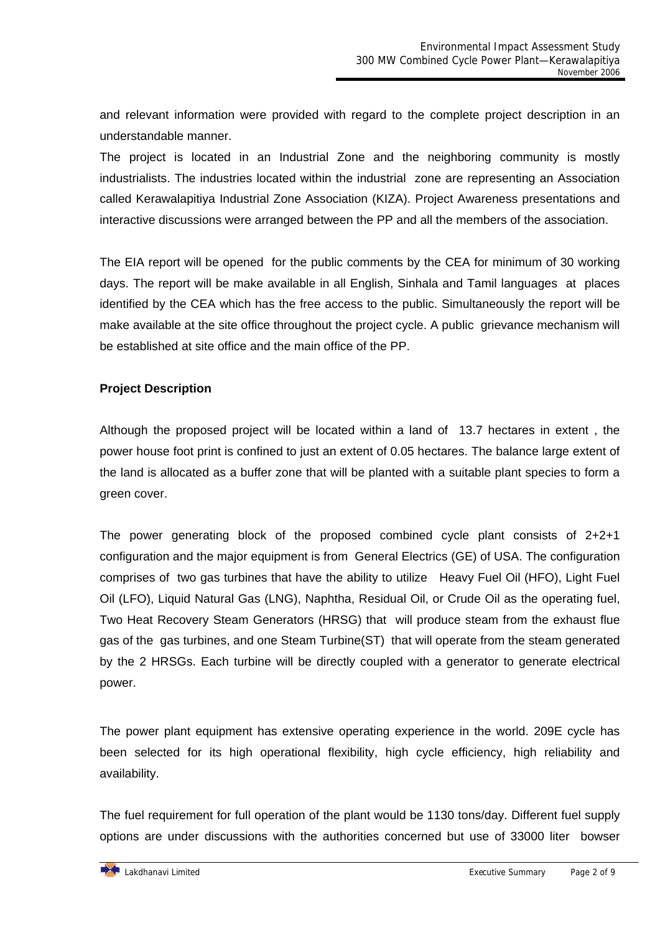and relevant information were provided with regard to the complete project description in an understandable manner.

The project is located in an Industrial Zone and the neighboring community is mostly industrialists. The industries located within the industrial zone are representing an Association called Kerawalapitiya Industrial Zone Association (KIZA). Project Awareness presentations and interactive discussions were arranged between the PP and all the members of the association.

The EIA report will be opened for the public comments by the CEA for minimum of 30 working days. The report will be make available in all English, Sinhala and Tamil languages at places identified by the CEA which has the free access to the public. Simultaneously the report will be make available at the site office throughout the project cycle. A public grievance mechanism will be established at site office and the main office of the PP.

## **Project Description**

Although the proposed project will be located within a land of 13.7 hectares in extent , the power house foot print is confined to just an extent of 0.05 hectares. The balance large extent of the land is allocated as a buffer zone that will be planted with a suitable plant species to form a green cover.

The power generating block of the proposed combined cycle plant consists of 2+2+1 configuration and the major equipment is from General Electrics (GE) of USA. The configuration comprises of two gas turbines that have the ability to utilize Heavy Fuel Oil (HFO), Light Fuel Oil (LFO), Liquid Natural Gas (LNG), Naphtha, Residual Oil, or Crude Oil as the operating fuel, Two Heat Recovery Steam Generators (HRSG) that will produce steam from the exhaust flue gas of the gas turbines, and one Steam Turbine(ST) that will operate from the steam generated by the 2 HRSGs. Each turbine will be directly coupled with a generator to generate electrical power.

The power plant equipment has extensive operating experience in the world. 209E cycle has been selected for its high operational flexibility, high cycle efficiency, high reliability and availability.

The fuel requirement for full operation of the plant would be 1130 tons/day. Different fuel supply options are under discussions with the authorities concerned but use of 33000 liter bowser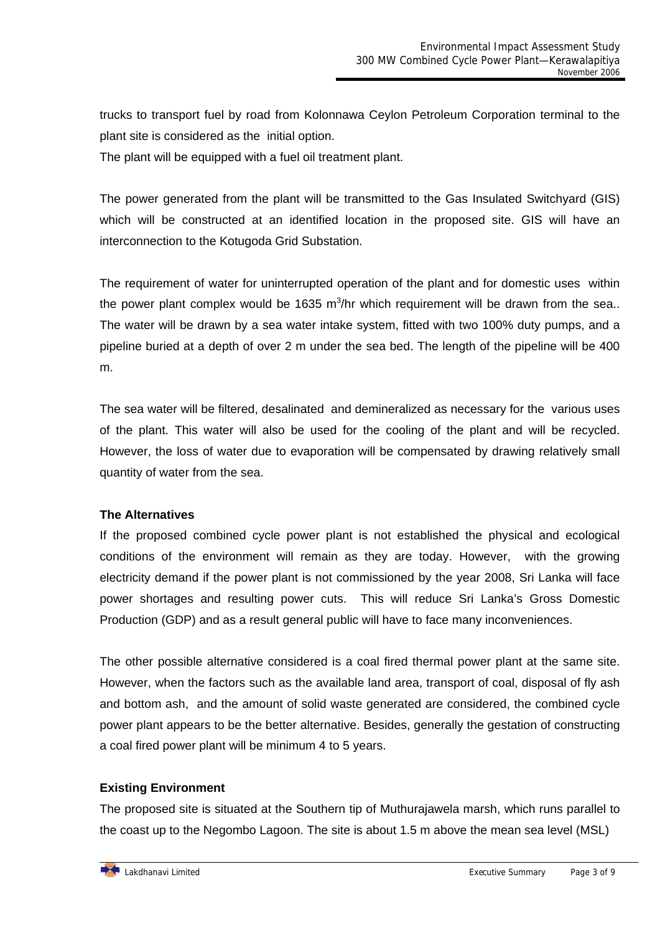trucks to transport fuel by road from Kolonnawa Ceylon Petroleum Corporation terminal to the plant site is considered as the initial option.

The plant will be equipped with a fuel oil treatment plant.

The power generated from the plant will be transmitted to the Gas Insulated Switchyard (GIS) which will be constructed at an identified location in the proposed site. GIS will have an interconnection to the Kotugoda Grid Substation.

The requirement of water for uninterrupted operation of the plant and for domestic uses within the power plant complex would be 1635 m<sup>3</sup>/hr which requirement will be drawn from the sea.. The water will be drawn by a sea water intake system, fitted with two 100% duty pumps, and a pipeline buried at a depth of over 2 m under the sea bed. The length of the pipeline will be 400 m.

The sea water will be filtered, desalinated and demineralized as necessary for the various uses of the plant. This water will also be used for the cooling of the plant and will be recycled. However, the loss of water due to evaporation will be compensated by drawing relatively small quantity of water from the sea.

#### **The Alternatives**

If the proposed combined cycle power plant is not established the physical and ecological conditions of the environment will remain as they are today. However, with the growing electricity demand if the power plant is not commissioned by the year 2008, Sri Lanka will face power shortages and resulting power cuts. This will reduce Sri Lanka's Gross Domestic Production (GDP) and as a result general public will have to face many inconveniences.

The other possible alternative considered is a coal fired thermal power plant at the same site. However, when the factors such as the available land area, transport of coal, disposal of fly ash and bottom ash, and the amount of solid waste generated are considered, the combined cycle power plant appears to be the better alternative. Besides, generally the gestation of constructing a coal fired power plant will be minimum 4 to 5 years.

# **Existing Environment**

The proposed site is situated at the Southern tip of Muthurajawela marsh, which runs parallel to the coast up to the Negombo Lagoon. The site is about 1.5 m above the mean sea level (MSL)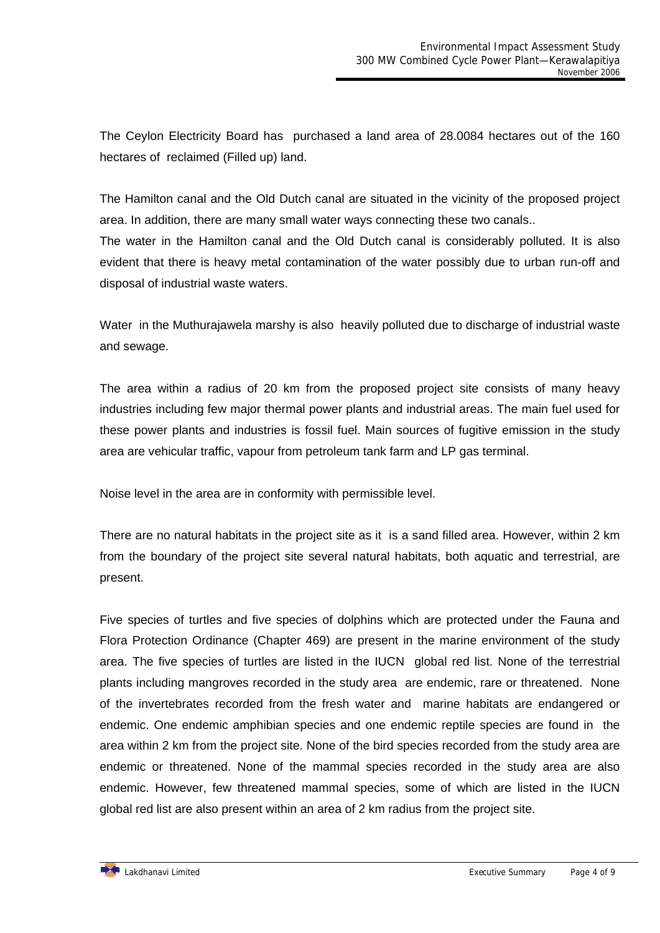The Ceylon Electricity Board has purchased a land area of 28.0084 hectares out of the 160 hectares of reclaimed (Filled up) land.

The Hamilton canal and the Old Dutch canal are situated in the vicinity of the proposed project area. In addition, there are many small water ways connecting these two canals.. The water in the Hamilton canal and the Old Dutch canal is considerably polluted. It is also evident that there is heavy metal contamination of the water possibly due to urban run-off and disposal of industrial waste waters.

Water in the Muthurajawela marshy is also heavily polluted due to discharge of industrial waste and sewage.

The area within a radius of 20 km from the proposed project site consists of many heavy industries including few major thermal power plants and industrial areas. The main fuel used for these power plants and industries is fossil fuel. Main sources of fugitive emission in the study area are vehicular traffic, vapour from petroleum tank farm and LP gas terminal.

Noise level in the area are in conformity with permissible level.

There are no natural habitats in the project site as it is a sand filled area. However, within 2 km from the boundary of the project site several natural habitats, both aquatic and terrestrial, are present.

Five species of turtles and five species of dolphins which are protected under the Fauna and Flora Protection Ordinance (Chapter 469) are present in the marine environment of the study area. The five species of turtles are listed in the IUCN global red list. None of the terrestrial plants including mangroves recorded in the study area are endemic, rare or threatened. None of the invertebrates recorded from the fresh water and marine habitats are endangered or endemic. One endemic amphibian species and one endemic reptile species are found in the area within 2 km from the project site. None of the bird species recorded from the study area are endemic or threatened. None of the mammal species recorded in the study area are also endemic. However, few threatened mammal species, some of which are listed in the IUCN global red list are also present within an area of 2 km radius from the project site.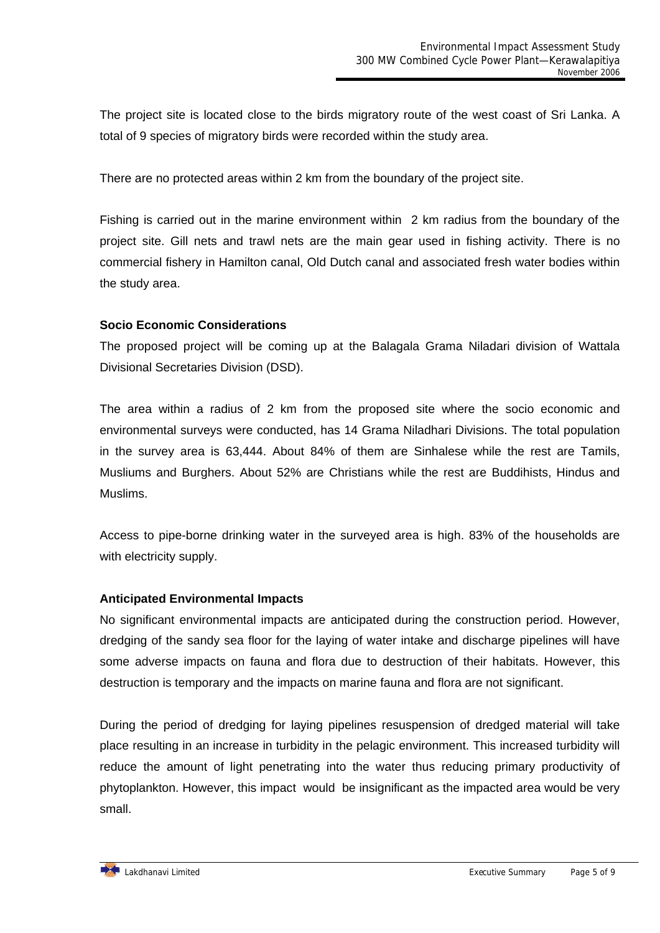The project site is located close to the birds migratory route of the west coast of Sri Lanka. A total of 9 species of migratory birds were recorded within the study area.

There are no protected areas within 2 km from the boundary of the project site.

Fishing is carried out in the marine environment within 2 km radius from the boundary of the project site. Gill nets and trawl nets are the main gear used in fishing activity. There is no commercial fishery in Hamilton canal, Old Dutch canal and associated fresh water bodies within the study area.

#### **Socio Economic Considerations**

The proposed project will be coming up at the Balagala Grama Niladari division of Wattala Divisional Secretaries Division (DSD).

The area within a radius of 2 km from the proposed site where the socio economic and environmental surveys were conducted, has 14 Grama Niladhari Divisions. The total population in the survey area is 63,444. About 84% of them are Sinhalese while the rest are Tamils, Musliums and Burghers. About 52% are Christians while the rest are Buddihists, Hindus and Muslims.

Access to pipe-borne drinking water in the surveyed area is high. 83% of the households are with electricity supply.

#### **Anticipated Environmental Impacts**

No significant environmental impacts are anticipated during the construction period. However, dredging of the sandy sea floor for the laying of water intake and discharge pipelines will have some adverse impacts on fauna and flora due to destruction of their habitats. However, this destruction is temporary and the impacts on marine fauna and flora are not significant.

During the period of dredging for laying pipelines resuspension of dredged material will take place resulting in an increase in turbidity in the pelagic environment. This increased turbidity will reduce the amount of light penetrating into the water thus reducing primary productivity of phytoplankton. However, this impact would be insignificant as the impacted area would be very small.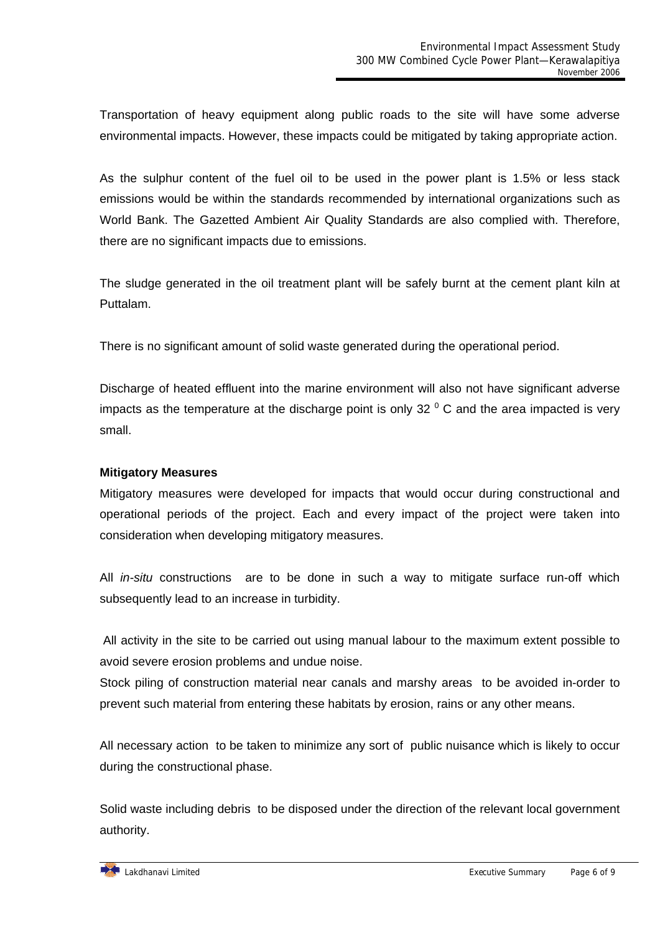Transportation of heavy equipment along public roads to the site will have some adverse environmental impacts. However, these impacts could be mitigated by taking appropriate action.

As the sulphur content of the fuel oil to be used in the power plant is 1.5% or less stack emissions would be within the standards recommended by international organizations such as World Bank. The Gazetted Ambient Air Quality Standards are also complied with. Therefore, there are no significant impacts due to emissions.

The sludge generated in the oil treatment plant will be safely burnt at the cement plant kiln at Puttalam.

There is no significant amount of solid waste generated during the operational period.

Discharge of heated effluent into the marine environment will also not have significant adverse impacts as the temperature at the discharge point is only 32  $^{\circ}$  C and the area impacted is very small.

## **Mitigatory Measures**

Mitigatory measures were developed for impacts that would occur during constructional and operational periods of the project. Each and every impact of the project were taken into consideration when developing mitigatory measures.

All *in-situ* constructions are to be done in such a way to mitigate surface run-off which subsequently lead to an increase in turbidity.

 All activity in the site to be carried out using manual labour to the maximum extent possible to avoid severe erosion problems and undue noise.

Stock piling of construction material near canals and marshy areas to be avoided in-order to prevent such material from entering these habitats by erosion, rains or any other means.

All necessary action to be taken to minimize any sort of public nuisance which is likely to occur during the constructional phase.

Solid waste including debris to be disposed under the direction of the relevant local government authority.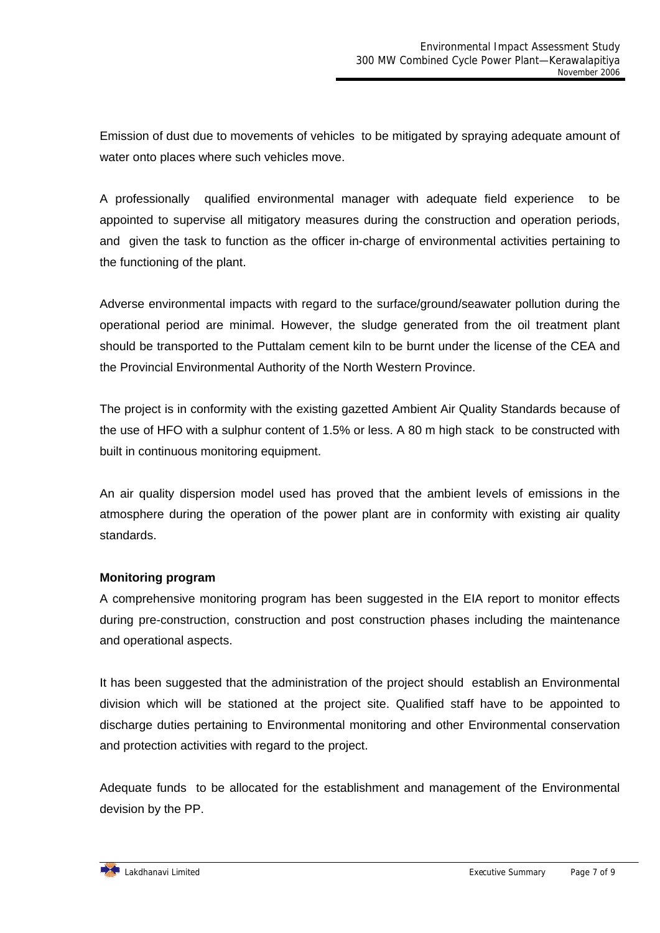Emission of dust due to movements of vehicles to be mitigated by spraying adequate amount of water onto places where such vehicles move.

A professionally qualified environmental manager with adequate field experience to be appointed to supervise all mitigatory measures during the construction and operation periods, and given the task to function as the officer in-charge of environmental activities pertaining to the functioning of the plant.

Adverse environmental impacts with regard to the surface/ground/seawater pollution during the operational period are minimal. However, the sludge generated from the oil treatment plant should be transported to the Puttalam cement kiln to be burnt under the license of the CEA and the Provincial Environmental Authority of the North Western Province.

The project is in conformity with the existing gazetted Ambient Air Quality Standards because of the use of HFO with a sulphur content of 1.5% or less. A 80 m high stack to be constructed with built in continuous monitoring equipment.

An air quality dispersion model used has proved that the ambient levels of emissions in the atmosphere during the operation of the power plant are in conformity with existing air quality standards.

# **Monitoring program**

A comprehensive monitoring program has been suggested in the EIA report to monitor effects during pre-construction, construction and post construction phases including the maintenance and operational aspects.

It has been suggested that the administration of the project should establish an Environmental division which will be stationed at the project site. Qualified staff have to be appointed to discharge duties pertaining to Environmental monitoring and other Environmental conservation and protection activities with regard to the project.

Adequate funds to be allocated for the establishment and management of the Environmental devision by the PP.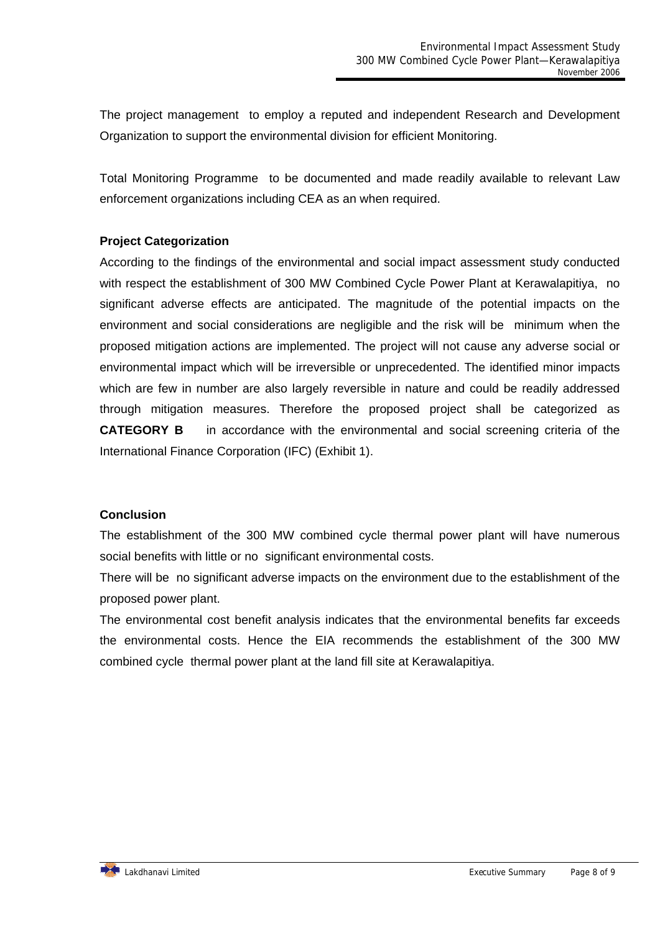The project management to employ a reputed and independent Research and Development Organization to support the environmental division for efficient Monitoring.

Total Monitoring Programme to be documented and made readily available to relevant Law enforcement organizations including CEA as an when required.

## **Project Categorization**

According to the findings of the environmental and social impact assessment study conducted with respect the establishment of 300 MW Combined Cycle Power Plant at Kerawalapitiya, no significant adverse effects are anticipated. The magnitude of the potential impacts on the environment and social considerations are negligible and the risk will be minimum when the proposed mitigation actions are implemented. The project will not cause any adverse social or environmental impact which will be irreversible or unprecedented. The identified minor impacts which are few in number are also largely reversible in nature and could be readily addressed through mitigation measures. Therefore the proposed project shall be categorized as **CATEGORY B** in accordance with the environmental and social screening criteria of the International Finance Corporation (IFC) (Exhibit 1).

#### **Conclusion**

The establishment of the 300 MW combined cycle thermal power plant will have numerous social benefits with little or no significant environmental costs.

There will be no significant adverse impacts on the environment due to the establishment of the proposed power plant.

The environmental cost benefit analysis indicates that the environmental benefits far exceeds the environmental costs. Hence the EIA recommends the establishment of the 300 MW combined cycle thermal power plant at the land fill site at Kerawalapitiya.